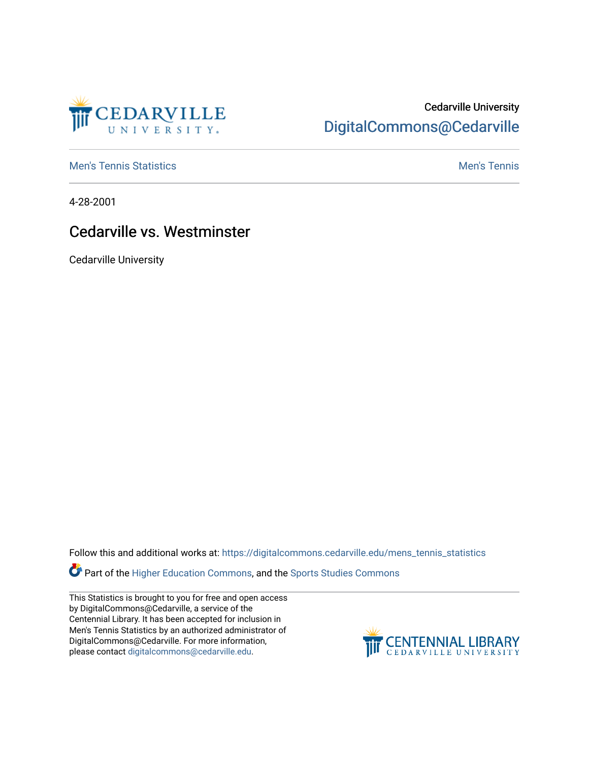

# Cedarville University [DigitalCommons@Cedarville](https://digitalcommons.cedarville.edu/)

**[Men's Tennis Statistics](https://digitalcommons.cedarville.edu/mens_tennis_statistics) Mental According to the Control of Control According Mental Men's Tennis** 

4-28-2001

## Cedarville vs. Westminster

Cedarville University

Follow this and additional works at: [https://digitalcommons.cedarville.edu/mens\\_tennis\\_statistics](https://digitalcommons.cedarville.edu/mens_tennis_statistics?utm_source=digitalcommons.cedarville.edu%2Fmens_tennis_statistics%2F491&utm_medium=PDF&utm_campaign=PDFCoverPages)

Part of the [Higher Education Commons,](http://network.bepress.com/hgg/discipline/1245?utm_source=digitalcommons.cedarville.edu%2Fmens_tennis_statistics%2F491&utm_medium=PDF&utm_campaign=PDFCoverPages) and the [Sports Studies Commons](http://network.bepress.com/hgg/discipline/1198?utm_source=digitalcommons.cedarville.edu%2Fmens_tennis_statistics%2F491&utm_medium=PDF&utm_campaign=PDFCoverPages) 

This Statistics is brought to you for free and open access by DigitalCommons@Cedarville, a service of the Centennial Library. It has been accepted for inclusion in Men's Tennis Statistics by an authorized administrator of DigitalCommons@Cedarville. For more information, please contact [digitalcommons@cedarville.edu](mailto:digitalcommons@cedarville.edu).